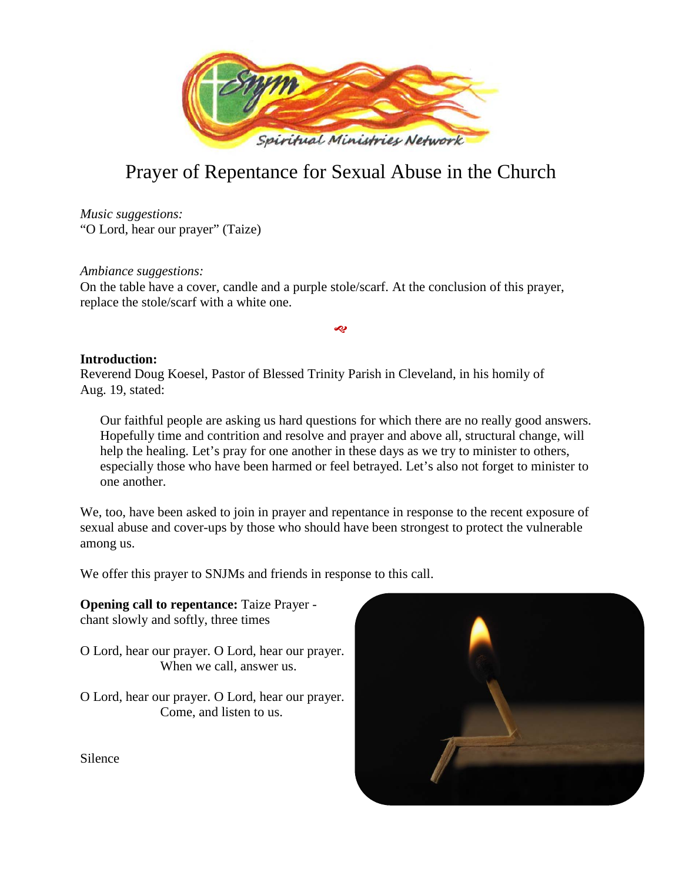

# Prayer of Repentance for Sexual Abuse in the Church

*Music suggestions:* "O Lord, hear our prayer" (Taize)

*Ambiance suggestions:* On the table have a cover, candle and a purple stole/scarf. At the conclusion of this prayer, replace the stole/scarf with a white one.

# **Introduction:**

Reverend Doug Koesel, Pastor of Blessed Trinity Parish in Cleveland, in his homily of Aug. 19, stated:

Our faithful people are asking us hard questions for which there are no really good answers. Hopefully time and contrition and resolve and prayer and above all, structural change, will help the healing. Let's pray for one another in these days as we try to minister to others, especially those who have been harmed or feel betrayed. Let's also not forget to minister to one another.

بہ

We, too, have been asked to join in prayer and repentance in response to the recent exposure of sexual abuse and cover-ups by those who should have been strongest to protect the vulnerable among us.

We offer this prayer to SNJMs and friends in response to this call.

**Opening call to repentance:** Taize Prayer chant slowly and softly, three times

- O Lord, hear our prayer. O Lord, hear our prayer. When we call, answer us.
- O Lord, hear our prayer. O Lord, hear our prayer. Come, and listen to us.



Silence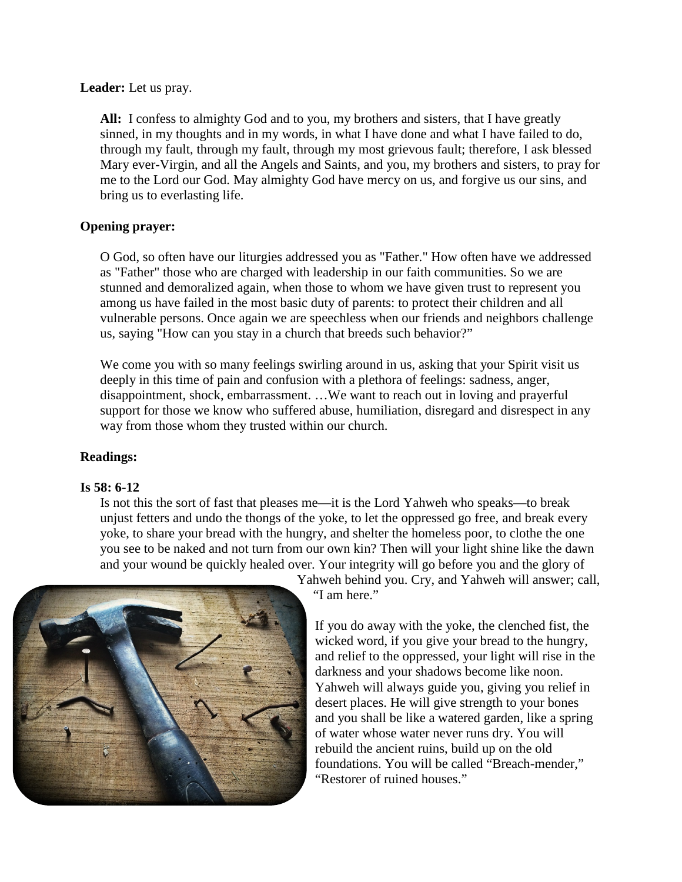#### **Leader:** Let us pray.

**All:** I confess to almighty God and to you, my brothers and sisters, that I have greatly sinned, in my thoughts and in my words, in what I have done and what I have failed to do, through my fault, through my fault, through my most grievous fault; therefore, I ask blessed Mary ever-Virgin, and all the Angels and Saints, and you, my brothers and sisters, to pray for me to the Lord our God. May almighty God have mercy on us, and forgive us our sins, and bring us to everlasting life.

# **Opening prayer:**

O God, so often have our liturgies addressed you as "Father." How often have we addressed as "Father" those who are charged with leadership in our faith communities. So we are stunned and demoralized again, when those to whom we have given trust to represent you among us have failed in the most basic duty of parents: to protect their children and all vulnerable persons. Once again we are speechless when our friends and neighbors challenge us, saying "How can you stay in a church that breeds such behavior?"

We come you with so many feelings swirling around in us, asking that your Spirit visit us deeply in this time of pain and confusion with a plethora of feelings: sadness, anger, disappointment, shock, embarrassment. …We want to reach out in loving and prayerful support for those we know who suffered abuse, humiliation, disregard and disrespect in any way from those whom they trusted within our church.

# **Readings:**

# **Is 58: 6-12**

Is not this the sort of fast that pleases me—it is the Lord Yahweh who speaks—to break unjust fetters and undo the thongs of the yoke, to let the oppressed go free, and break every yoke, to share your bread with the hungry, and shelter the homeless poor, to clothe the one you see to be naked and not turn from our own kin? Then will your light shine like the dawn and your wound be quickly healed over. Your integrity will go before you and the glory of



Yahweh behind you. Cry, and Yahweh will answer; call, "I am here."

If you do away with the yoke, the clenched fist, the wicked word, if you give your bread to the hungry, and relief to the oppressed, your light will rise in the darkness and your shadows become like noon. Yahweh will always guide you, giving you relief in desert places. He will give strength to your bones and you shall be like a watered garden, like a spring of water whose water never runs dry. You will rebuild the ancient ruins, build up on the old foundations. You will be called "Breach-mender," "Restorer of ruined houses."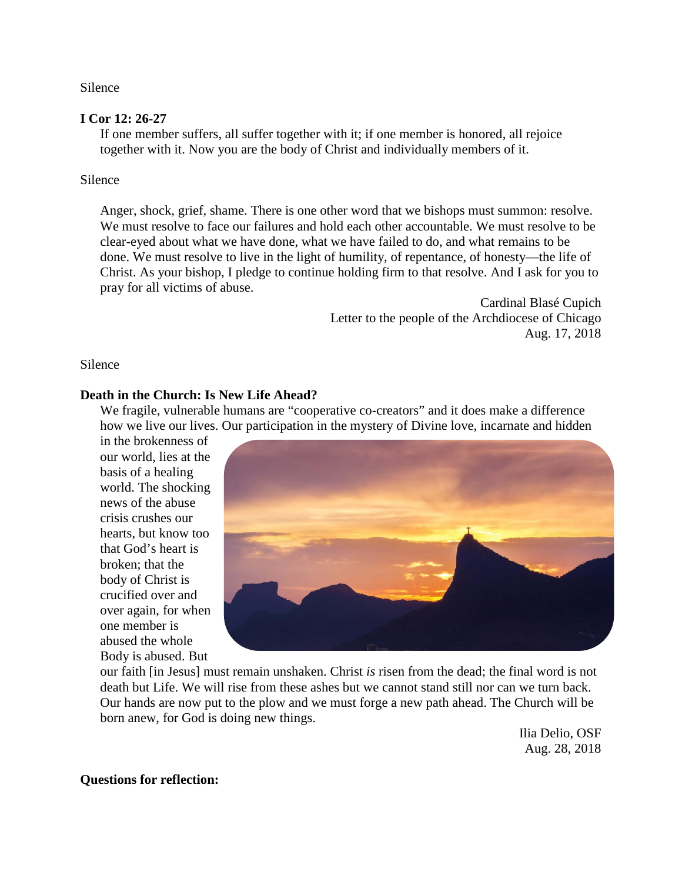Silence

#### **I Cor 12: 26-27**

If one member suffers, all suffer together with it; if one member is honored, all rejoice together with it. Now you are the body of Christ and individually members of it.

#### Silence

Anger, shock, grief, shame. There is one other word that we bishops must summon: resolve. We must resolve to face our failures and hold each other accountable. We must resolve to be clear-eyed about what we have done, what we have failed to do, and what remains to be done. We must resolve to live in the light of humility, of repentance, of honesty—the life of Christ. As your bishop, I pledge to continue holding firm to that resolve. And I ask for you to pray for all victims of abuse.

> Cardinal Blasé Cupich Letter to the people of the Archdiocese of Chicago Aug. 17, 2018

Silence

#### **Death in the Church: Is New Life Ahead?**

We fragile, vulnerable humans are "cooperative co-creators" and it does make a difference how we live our lives. Our participation in the mystery of Divine love, incarnate and hidden

in the brokenness of our world, lies at the basis of a healing world. The shocking news of the abuse crisis crushes our hearts, but know too that God's heart is broken; that the body of Christ is crucified over and over again, for when one member is abused the whole Body is abused. But



our faith [in Jesus] must remain unshaken. Christ *is* risen from the dead; the final word is not death but Life. We will rise from these ashes but we cannot stand still nor can we turn back. Our hands are now put to the plow and we must forge a new path ahead. The Church will be born anew, for God is doing new things.

> Ilia Delio, OSF Aug. 28, 2018

**Questions for reflection:**